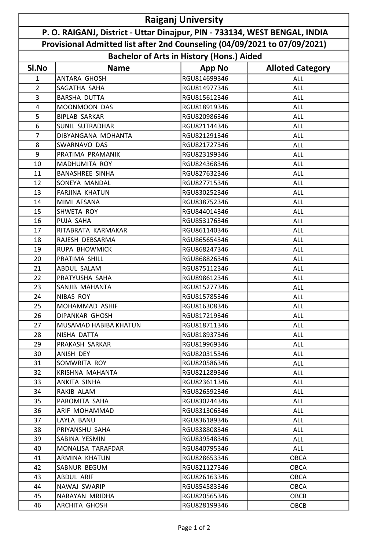| <b>Raiganj University</b>                                                  |                        |                                                  |                         |  |  |
|----------------------------------------------------------------------------|------------------------|--------------------------------------------------|-------------------------|--|--|
| P. O. RAIGANJ, District - Uttar Dinajpur, PIN - 733134, WEST BENGAL, INDIA |                        |                                                  |                         |  |  |
| Provisional Admitted list after 2nd Counseling (04/09/2021 to 07/09/2021)  |                        |                                                  |                         |  |  |
|                                                                            |                        | <b>Bachelor of Arts in History (Hons.) Aided</b> |                         |  |  |
| SI.No                                                                      | <b>Name</b>            | <b>App No</b>                                    | <b>Alloted Category</b> |  |  |
| 1                                                                          | <b>ANTARA GHOSH</b>    | RGU814699346                                     | ALL                     |  |  |
| $\overline{2}$                                                             | SAGATHA SAHA           | RGU814977346                                     | <b>ALL</b>              |  |  |
| 3                                                                          | <b>BARSHA DUTTA</b>    | RGU815612346                                     | <b>ALL</b>              |  |  |
| 4                                                                          | MOONMOON DAS           | RGU818919346                                     | <b>ALL</b>              |  |  |
| 5                                                                          | <b>BIPLAB SARKAR</b>   | RGU820986346                                     | <b>ALL</b>              |  |  |
| 6                                                                          | <b>SUNIL SUTRADHAR</b> | RGU821144346                                     | <b>ALL</b>              |  |  |
| 7                                                                          | DIBYANGANA MOHANTA     | RGU821291346                                     | <b>ALL</b>              |  |  |
| 8                                                                          | SWARNAVO DAS           | RGU821727346                                     | <b>ALL</b>              |  |  |
| 9                                                                          | PRATIMA PRAMANIK       | RGU823199346                                     | <b>ALL</b>              |  |  |
| 10                                                                         | <b>MADHUMITA ROY</b>   | RGU824368346                                     | <b>ALL</b>              |  |  |
| 11                                                                         | <b>BANASHREE SINHA</b> | RGU827632346                                     | <b>ALL</b>              |  |  |
| 12                                                                         | SONEYA MANDAL          | RGU827715346                                     | <b>ALL</b>              |  |  |
| 13                                                                         | <b>FARJINA KHATUN</b>  | RGU830252346                                     | ALL                     |  |  |
| 14                                                                         | MIMI AFSANA            | RGU838752346                                     | <b>ALL</b>              |  |  |
| 15                                                                         | SHWETA ROY             | RGU844014346                                     | <b>ALL</b>              |  |  |
| 16                                                                         | PUJA SAHA              | RGU853176346                                     | <b>ALL</b>              |  |  |
| 17                                                                         | RITABRATA KARMAKAR     | RGU861140346                                     | ALL                     |  |  |
| 18                                                                         | RAJESH DEBSARMA        | RGU865654346                                     | <b>ALL</b>              |  |  |
| 19                                                                         | <b>RUPA BHOWMICK</b>   | RGU868247346                                     | ALL                     |  |  |
| 20                                                                         | PRATIMA SHILL          | RGU868826346                                     | <b>ALL</b>              |  |  |
| 21                                                                         | ABDUL SALAM            | RGU875112346                                     | <b>ALL</b>              |  |  |
| 22                                                                         | PRATYUSHA SAHA         | RGU898612346                                     | <b>ALL</b>              |  |  |
| 23                                                                         | SANJIB MAHANTA         | RGU815277346                                     | <b>ALL</b>              |  |  |
| 24                                                                         | <b>NIBAS ROY</b>       | RGU815785346                                     | <b>ALL</b>              |  |  |
| 25                                                                         | MOHAMMAD ASHIF         | RGU816308346                                     | <b>ALL</b>              |  |  |
| 26                                                                         | DIPANKAR GHOSH         | RGU817219346                                     | ALL                     |  |  |
| 27                                                                         | MUSAMAD HABIBA KHATUN  | RGU818711346                                     | ALL                     |  |  |
| 28                                                                         | NISHA DATTA            | RGU818937346                                     | ALL                     |  |  |
| 29                                                                         | PRAKASH SARKAR         | RGU819969346                                     | ALL                     |  |  |
| 30                                                                         | ANISH DEY              | RGU820315346                                     | <b>ALL</b>              |  |  |
| 31                                                                         | SOMWRITA ROY           | RGU820586346                                     | <b>ALL</b>              |  |  |
| 32                                                                         | KRISHNA MAHANTA        | RGU821289346                                     | ALL                     |  |  |
| 33                                                                         | ANKITA SINHA           | RGU823611346                                     | ALL                     |  |  |
| 34                                                                         | RAKIB ALAM             | RGU826592346                                     | ALL                     |  |  |
| 35                                                                         | PAROMITA SAHA          | RGU830244346                                     | ALL                     |  |  |
| 36                                                                         | ARIF MOHAMMAD          | RGU831306346                                     | ALL                     |  |  |
| 37                                                                         | LAYLA BANU             | RGU836189346                                     | <b>ALL</b>              |  |  |
| 38                                                                         | PRIYANSHU SAHA         | RGU838808346                                     | ALL                     |  |  |
| 39                                                                         | SABINA YESMIN          | RGU839548346                                     | <b>ALL</b>              |  |  |
| 40                                                                         | MONALISA TARAFDAR      | RGU840795346                                     | <b>ALL</b>              |  |  |
| 41                                                                         | ARMINA KHATUN          | RGU828653346                                     | <b>OBCA</b>             |  |  |
| 42                                                                         | SABNUR BEGUM           | RGU821127346                                     | <b>OBCA</b>             |  |  |
| 43                                                                         | ABDUL ARIF             | RGU826163346                                     | OBCA                    |  |  |
| 44                                                                         | NAWAJ SWARIP           | RGU854583346                                     | <b>OBCA</b>             |  |  |
| 45                                                                         | NARAYAN MRIDHA         | RGU820565346                                     | OBCB                    |  |  |
| 46                                                                         | ARCHITA GHOSH          | RGU828199346                                     | OBCB                    |  |  |